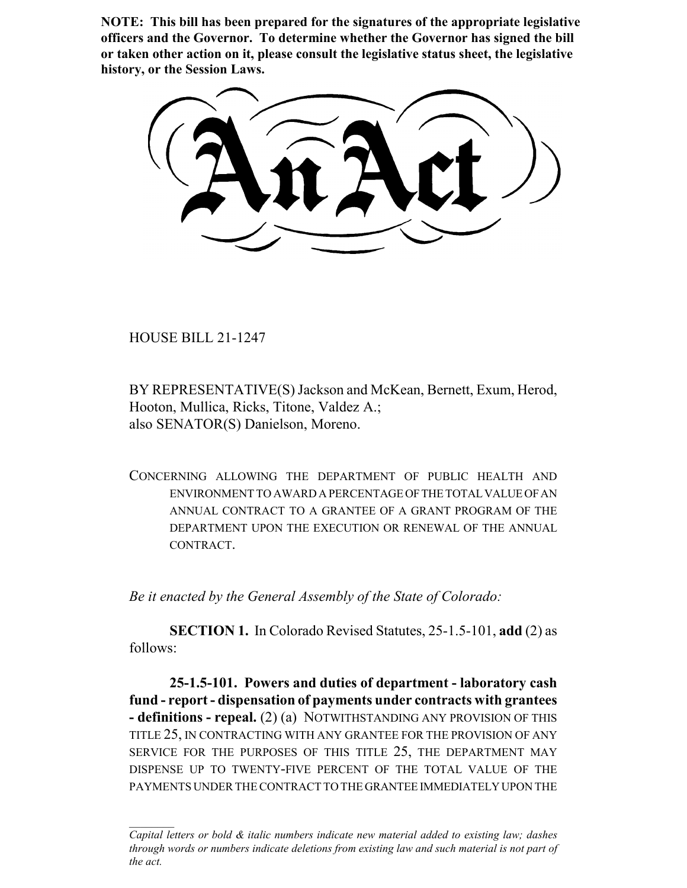**NOTE: This bill has been prepared for the signatures of the appropriate legislative officers and the Governor. To determine whether the Governor has signed the bill or taken other action on it, please consult the legislative status sheet, the legislative history, or the Session Laws.**

HOUSE BILL 21-1247

BY REPRESENTATIVE(S) Jackson and McKean, Bernett, Exum, Herod, Hooton, Mullica, Ricks, Titone, Valdez A.; also SENATOR(S) Danielson, Moreno.

CONCERNING ALLOWING THE DEPARTMENT OF PUBLIC HEALTH AND ENVIRONMENT TO AWARD A PERCENTAGE OF THE TOTAL VALUE OF AN ANNUAL CONTRACT TO A GRANTEE OF A GRANT PROGRAM OF THE DEPARTMENT UPON THE EXECUTION OR RENEWAL OF THE ANNUAL CONTRACT.

*Be it enacted by the General Assembly of the State of Colorado:*

**SECTION 1.** In Colorado Revised Statutes, 25-1.5-101, **add** (2) as follows:

**25-1.5-101. Powers and duties of department - laboratory cash fund - report - dispensation of payments under contracts with grantees - definitions - repeal.** (2) (a) NOTWITHSTANDING ANY PROVISION OF THIS TITLE 25, IN CONTRACTING WITH ANY GRANTEE FOR THE PROVISION OF ANY SERVICE FOR THE PURPOSES OF THIS TITLE 25, THE DEPARTMENT MAY DISPENSE UP TO TWENTY-FIVE PERCENT OF THE TOTAL VALUE OF THE PAYMENTS UNDER THE CONTRACT TO THE GRANTEE IMMEDIATELY UPON THE

*Capital letters or bold & italic numbers indicate new material added to existing law; dashes through words or numbers indicate deletions from existing law and such material is not part of the act.*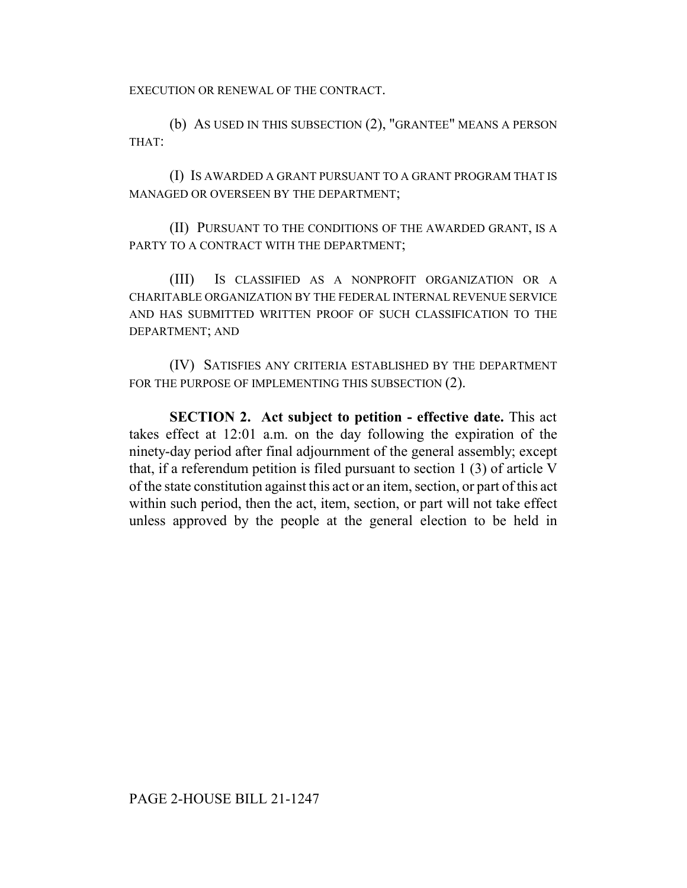EXECUTION OR RENEWAL OF THE CONTRACT.

(b) AS USED IN THIS SUBSECTION (2), "GRANTEE" MEANS A PERSON THAT:

(I) IS AWARDED A GRANT PURSUANT TO A GRANT PROGRAM THAT IS MANAGED OR OVERSEEN BY THE DEPARTMENT;

(II) PURSUANT TO THE CONDITIONS OF THE AWARDED GRANT, IS A PARTY TO A CONTRACT WITH THE DEPARTMENT;

(III) IS CLASSIFIED AS A NONPROFIT ORGANIZATION OR A CHARITABLE ORGANIZATION BY THE FEDERAL INTERNAL REVENUE SERVICE AND HAS SUBMITTED WRITTEN PROOF OF SUCH CLASSIFICATION TO THE DEPARTMENT; AND

(IV) SATISFIES ANY CRITERIA ESTABLISHED BY THE DEPARTMENT FOR THE PURPOSE OF IMPLEMENTING THIS SUBSECTION (2).

**SECTION 2. Act subject to petition - effective date.** This act takes effect at 12:01 a.m. on the day following the expiration of the ninety-day period after final adjournment of the general assembly; except that, if a referendum petition is filed pursuant to section 1 (3) of article V of the state constitution against this act or an item, section, or part of this act within such period, then the act, item, section, or part will not take effect unless approved by the people at the general election to be held in